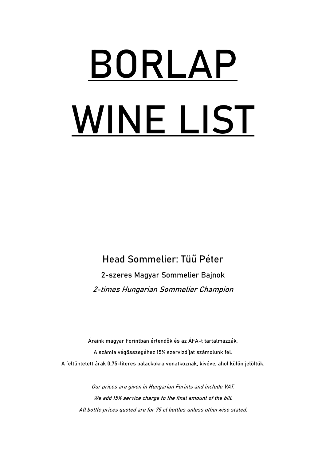# **BORLAP WINE LIST**

Head Sommelier: Tüű Péter 2-szeres Magyar Sommelier Bajnok 2-times Hungarian Sommelier Champion

Áraink magyar Forintban értendők és az ÁFA-t tartalmazzák. A számla végösszegéhez 15% szervizdíjat számolunk fel. A feltüntetett árak 0,75-literes palackokra vonatkoznak, kivéve, ahol külön jelöltük.

Our prices are given in Hungarian Forints and include VAT. We add 15% service charge to the final amount of the bill. All bottle prices quoted are for 75 cl bottles unless otherwise stated.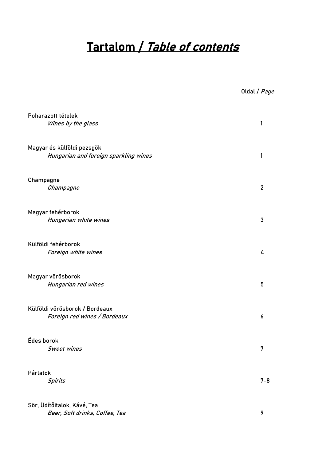## Tartalom / Table of contents

| Oldal / <i>Page</i> |  |
|---------------------|--|
|---------------------|--|

| Poharazott tételek<br>Wines by the glass                            | 1              |
|---------------------------------------------------------------------|----------------|
| Magyar és külföldi pezsgők<br>Hungarian and foreign sparkling wines | 1              |
| Champagne<br>Champagne                                              | $\overline{2}$ |
| Magyar fehérborok<br>Hungarian white wines                          | 3              |
| Külföldi fehérborok<br>Foreign white wines                          | 4              |
| Magyar vörösborok<br>Hungarian red wines                            | 5              |
| Külföldi vörösborok / Bordeaux<br>Foreign red wines / Bordeaux      | 6              |
| Édes borok<br><b>Sweet wines</b>                                    | 7              |
| Párlatok<br><b>Spirits</b>                                          | $7 - 8$        |
| Sör, Üdítőitalok, Kávé, Tea                                         |                |

Beer, Soft drinks, Coffee, Tea 9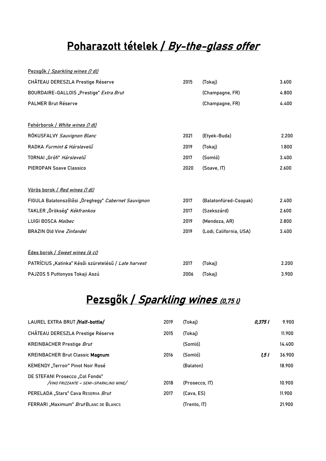## Poharazott tételek / By-the-glass offer

| Pezsgők / Sparkling wines (1 dl)                     |      |                         |       |
|------------------------------------------------------|------|-------------------------|-------|
| CHÂTEAU DERESZLA Prestige Réserve                    | 2015 | (Tokaj)                 | 3.600 |
| BOURDAIRE-GALLOIS "Prestige" Extra Brut              |      | (Champagne, FR)         | 4.800 |
| <b>PALMER Brut Réserve</b>                           |      | (Champagne, FR)         | 4.400 |
| Fehérborok / White wines (1 dl)                      |      |                         |       |
| RÓKUSFALVY Sauvignon Blanc                           | 2021 | (Etyek-Buda)            | 2.200 |
| RADKA Furmint & Hárslevelű                           | 2019 | (Tokaj)                 | 1.800 |
| TORNAI "Grófi" Hárslevelű                            | 2017 | (Somló)                 | 3.400 |
| <b>PIEROPAN Soave Classico</b>                       | 2020 | (Soave, IT)             | 2.600 |
| Vörös borok / Red wines (1 dl)                       |      |                         |       |
| FIGULA Balatonszőlősi "Öreghegy" Cabernet Sauvignon  | 2017 | (Balatonfüred-Csopak)   | 2.400 |
| TAKLER "Örökség" Kékfrankos                          | 2017 | (Szekszárd)             | 2.600 |
| LUIGI BOSCA Malbec                                   | 2019 | (Mendoza, AR)           | 2.800 |
| <b>BRAZIN Old Vine Zinfandel</b>                     | 2019 | (Lodi, California, USA) | 3.400 |
| Édes borok / Sweet wines (6 cl)                      |      |                         |       |
| PATRÍCIUS "Katinka" Késői szüretelésű / Late harvest | 2017 | (Tokaj)                 | 2.200 |
| PAJZOS 5 Puttonyos Tokaji Aszú                       | 2006 | (Tokaj)                 | 3.900 |

## Pezsgők / Sparkling wines (0,75 l)

| LAUREL EXTRA BRUT /Half-bottle/                                           | 2019 | (Tokaj)        | 0.375 L | 9.900  |
|---------------------------------------------------------------------------|------|----------------|---------|--------|
| CHÂTEAU DERESZLA Prestige Réserve                                         | 2015 | (Tokaj)        |         | 11.900 |
| <b>KREINBACHER Prestige Brut</b>                                          |      | (Somló)        |         | 14.400 |
| <b>KREINBACHER Brut Classic Magnum</b>                                    | 2016 | (Somló)        | 1.5 I   | 36.900 |
| KEMENDY "Terroir" Pinot Noir Rosé                                         |      | (Balaton)      |         | 18,900 |
| DE STEFANI Prosecco "Col Fondo"<br>/VINO FRIZZANTE - SEMI-SPARKLING WINE/ | 2018 | (Prosecco, IT) |         | 10.900 |
| PERELADA "Stars" Cava RESERVA Brut                                        | 2017 | (Cava, ES)     |         | 11.900 |
| FERRARI "Maximum" Brut BLANC DE BLANCS                                    |      | (Trento. IT)   |         | 21.900 |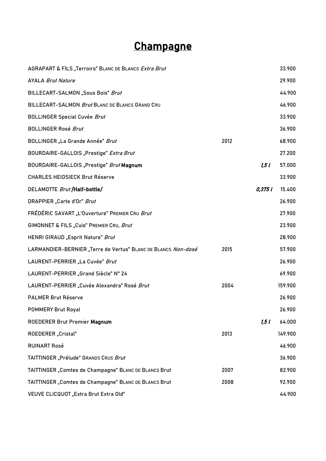## **Champagne**

| AGRAPART & FILS "Terroirs" BLANC DE BLANCS Extra Brut         |      |         | 33.900  |
|---------------------------------------------------------------|------|---------|---------|
| <b>AYALA Brut Nature</b>                                      |      |         | 29.900  |
| BILLECART-SALMON "Sous Bois" Brut                             |      |         | 44.900  |
| BILLECART-SALMON Brut BLANC DE BLANCS GRAND CRU               |      |         | 46.900  |
| <b>BOLLINGER Special Cuvée Brut</b>                           |      |         | 33.900  |
| <b>BOLLINGER Rosé Brut</b>                                    |      |         | 36.900  |
| <b>BOLLINGER</b> "La Grande Année" Brut                       | 2012 |         | 68.900  |
| BOURDAIRE-GALLOIS "Prestige" Extra Brut                       |      |         | 27.200  |
| BOURDAIRE-GALLOIS "Prestige" Brut Magnum                      |      | 1,51    | 57.000  |
| <b>CHARLES HEIDSIECK Brut Réserve</b>                         |      |         | 33.900  |
| DELAMOTTE Brut /Half-bottle/                                  |      | 0,375 l | 15.400  |
| DRAPPIER "Carte d'Or" Brut                                    |      |         | 26.900  |
| FRÉDÉRIC SAVART "L'Ouverture" PREMIER CRU Brut                |      |         | 27.900  |
| GIMONNET & FILS "Cuis" PREMIER CRU, Brut                      |      |         | 23.900  |
| HENRI GIRAUD "Esprit Nature" Brut                             |      |         | 28.900  |
| LARMANDIER-BERNIER "Terre de Vertus" BLANC DE BLANCS Non-dosé | 2015 |         | 57.900  |
| LAURENT-PERRIER "La Cuvée" Brut                               |      |         | 26.900  |
| LAURENT-PERRIER "Grand Siècle" N° 24                          |      |         | 69.900  |
| LAURENT-PERRIER "Cuvée Alexandra" Rosé Brut                   | 2004 |         | 159.900 |
| <b>PALMER Brut Réserve</b>                                    |      |         | 26.900  |
| <b>POMMERY Brut Royal</b>                                     |      |         | 26.900  |
| ROEDERER Brut Premier Magnum                                  |      | 1,51    | 64.000  |
| ROEDERER "Cristal"                                            | 2013 |         | 149.900 |
| <b>RUINART Rosé</b>                                           |      |         | 46.900  |
| TAITTINGER "Prélude" GRANDS CRUS Brut                         |      |         | 36.900  |
| TAITTINGER "Comtes de Champagne" BLANC DE BLANCS Brut         | 2007 |         | 82.900  |
| TAITTINGER "Comtes de Champagne" BLANC DE BLANCS Brut         | 2008 |         | 92.900  |
| VEUVE CLICQUOT "Extra Brut Extra Old"                         |      |         | 44.900  |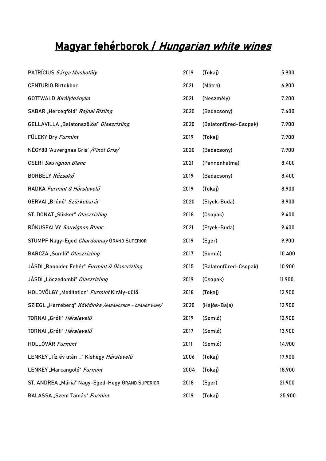# Magyar fehérborok / Hungarian white wines

| PATRÍCIUS <i>Sárga Muskotály</i>                         | 2019 | (Tokaj)               | 5.900  |
|----------------------------------------------------------|------|-----------------------|--------|
| <b>CENTURIO Birtokbor</b>                                | 2021 | (Mátra)               | 6.900  |
| GOTTWALD Királyleányka                                   | 2021 | (Neszmély)            | 7.200  |
| SABAR "Hercegföld" Rajnai Rizling                        | 2020 | (Badacsony)           | 7.400  |
| GELLAVILLA "Balatonszőlős" Olaszrizling                  | 2020 | (Balatonfüred-Csopak) | 7.900  |
| FÜLEKY Dry Furmint                                       | 2019 | (Tokaj)               | 7.900  |
| NÉGY80 'Auvergnas Gris' / Pinot Gris/                    | 2020 | (Badacsony)           | 7.900  |
| <b>CSERI Sauvignon Blanc</b>                             | 2021 | (Pannonhalma)         | 8.400  |
| BORBÉLY Rózsakő                                          | 2019 | (Badacsony)           | 8.400  |
| RADKA Furmint & Hárslevelű                               | 2019 | (Tokaj)               | 8.900  |
| GERVAI "Brúnó" Szürkebarát                               | 2020 | (Etyek-Buda)          | 8.900  |
| ST. DONAT "Slikker" Olaszrizling                         | 2018 | (Csopak)              | 9.400  |
| RÓKUSFALVY Sauvignon Blanc                               | 2021 | (Etyek-Buda)          | 9.400  |
| STUMPF Nagy-Eged Chardonnay GRAND SUPERIOR               | 2019 | (Eger)                | 9.900  |
| BARCZA "Somló" Olaszrizling                              | 2017 | (Somló)               | 10.400 |
| JÁSDI "Ranolder Fehér" <i>Furmint &amp; Olaszrizling</i> | 2015 | (Balatonfüred-Csopak) | 10.900 |
| JÁSDI "Lőczedombi" Olaszrizling                          | 2019 | (Csopak)              | 11.900 |
| HOLDVÖLGY "Meditation" Furmint Király-dűlő               | 2018 | (Tokaj)               | 12.900 |
| SZIEGL "Herreberg" Kövidinka /NARANCSBOR - ORANGE WINE/  | 2020 | (Hajós-Baja)          | 12.900 |
| TORNAI "Grófi" <i>Hárslevelű</i>                         | 2019 | (Somló)               | 12.900 |
| TORNAI "Grófi" Hárslevelű                                | 2017 | (Somló)               | 13.900 |
| HOLLÓVÁR Furmint                                         | 2011 | (Somló)               | 14.900 |
| LENKEY "Tíz év után " Kishegy Hárslevelű                 | 2006 | (Tokaj)               | 17.900 |
| LENKEY "Marcangoló" Furmint                              | 2004 | (Tokaj)               | 18.900 |
| ST. ANDREA "Mária" Nagy-Eged-Hegy GRAND SUPERIOR         | 2018 | (Eger)                | 21.900 |
| BALASSA "Szent Tamás" Furmint                            | 2019 | (Tokaj)               | 25.900 |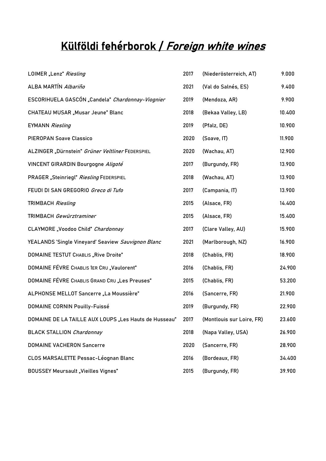# Külföldi fehérborok / Foreign white wines

| LOIMER "Lenz" Riesling                                | 2017 | (Niederösterreich, AT)    | 9.000  |
|-------------------------------------------------------|------|---------------------------|--------|
| ALBA MARTÍN Albariño                                  | 2021 | (Val do Salnés, ES)       | 9.400  |
| ESCORIHUELA GASCÓN "Candela" Chardonnay-Viognier      | 2019 | (Mendoza, AR)             | 9.900  |
| CHATEAU MUSAR "Musar Jeune" Blanc                     | 2018 | (Bekaa Valley, LB)        | 10.400 |
| <b>EYMANN Riesling</b>                                | 2019 | (Pfalz, DE)               | 10.900 |
| <b>PIEROPAN Soave Classico</b>                        | 2020 | (Soave, IT)               | 11.900 |
| ALZINGER "Dürnstein" Grüner Veltliner FEDERSPIEL      | 2020 | (Wachau, AT)              | 12.900 |
| VINCENT GIRARDIN Bourgogne Aligoté                    | 2017 | (Burgundy, FR)            | 13.900 |
| PRAGER "Steinriegl" Riesling FEDERSPIEL               | 2018 | (Wachau, AT)              | 13.900 |
| FEUDI DI SAN GREGORIO Greco di Tufo                   | 2017 | (Campania, IT)            | 13.900 |
| <b>TRIMBACH Riesling</b>                              | 2015 | (Alsace, FR)              | 14.400 |
| TRIMBACH Gewürztraminer                               | 2015 | (Alsace, FR)              | 15.400 |
| CLAYMORE "Voodoo Child" Chardonnay                    | 2017 | (Clare Valley, AU)        | 15.900 |
| YEALANDS 'Single Vineyard' Seaview Sauvignon Blanc    | 2021 | (Marlborough, NZ)         | 16.900 |
| <b>DOMAINE TESTUT CHABLIS "Rive Droite"</b>           | 2018 | (Chablis, FR)             | 18.900 |
| DOMAINE FÉVRE CHABLIS 1ER CRU "Vaulorent"             | 2016 | (Chablis, FR)             | 24.900 |
| DOMAINE FÉVRE CHABLIS GRAND CRU "Les Preuses"         | 2015 | (Chablis, FR)             | 53.200 |
| ALPHONSE MELLOT Sancerre "La Moussière"               | 2016 | (Sancerre, FR)            | 21.900 |
| <b>DOMAINE CORNIN Pouilly-Fuissé</b>                  | 2019 | (Burgundy, FR)            | 22.900 |
| DOMAINE DE LA TAILLE AUX LOUPS "Les Hauts de Husseau" | 2017 | (Montlouis sur Loire, FR) | 23.600 |
| <b>BLACK STALLION Chardonnay</b>                      | 2018 | (Napa Valley, USA)        | 26.900 |
| <b>DOMAINE VACHERON Sancerre</b>                      | 2020 | (Sancerre, FR)            | 28.900 |
| CLOS MARSALETTE Pessac-Léognan Blanc                  | 2016 | (Bordeaux, FR)            | 34.400 |
| <b>BOUSSEY Meursault "Vieilles Vignes"</b>            | 2015 | (Burgundy, FR)            | 39.900 |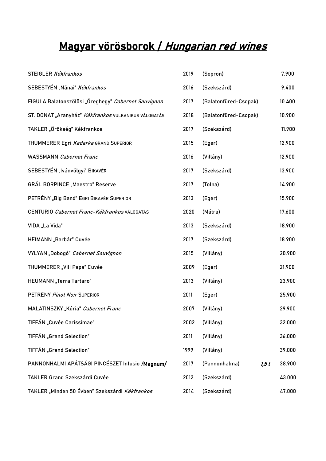# Magyar vörösborok / Hungarian red wines

| STEIGLER Kékfrankos                                  | 2019 | (Sopron)              | 7.900  |
|------------------------------------------------------|------|-----------------------|--------|
| SEBESTYÉN "Nánai" Kékfrankos                         | 2016 | (Szekszárd)           | 9.400  |
| FIGULA Balatonszőlősi "Öreghegy" Cabernet Sauvignon  | 2017 | (Balatonfüred-Csopak) | 10.400 |
| ST. DONAT "Aranyház" Kékfrankos VULKANIKUS VÁLOGATÁS | 2018 | (Balatonfüred-Csopak) | 10.900 |
| TAKLER "Örökség" Kékfrankos                          | 2017 | (Szekszárd)           | 11.900 |
| THUMMERER Egri Kadarka GRAND SUPERIOR                | 2015 | (Eger)                | 12.900 |
| <b>WASSMANN</b> Cabernet Franc                       | 2016 | (Villány)             | 12.900 |
| SEBESTYÉN "Ivánvölgyi" BIKAVÉR                       | 2017 | (Szekszárd)           | 13.900 |
| <b>GRÁL BORPINCE "Maestro" Reserve</b>               | 2017 | (Tolna)               | 14.900 |
| PETRÉNY "Big Band" EGRI BIKAVÉR SUPERIOR             | 2013 | (Eger)                | 15.900 |
| CENTURIO Cabernet Franc-Kékfrankos VÁLOGATÁS         | 2020 | (Mátra)               | 17.600 |
| VIDA "La Vida"                                       | 2013 | (Szekszárd)           | 18.900 |
| HEIMANN "Barbár" Cuvée                               | 2017 | (Szekszárd)           | 18.900 |
| VYLYAN "Dobogó" Cabernet Sauvignon                   | 2015 | (Villány)             | 20.900 |
| THUMMERER "Vili Papa" Cuvée                          | 2009 | (Eger)                | 21.900 |
| HEUMANN "Terra Tartaro"                              | 2013 | (Villány)             | 23.900 |
| PETRÉNY Pinot Noir SUPERIOR                          | 2011 | (Eger)                | 25.900 |
| MALATINSZKY "Kúria" Cabernet Franc                   | 2007 | (Villány)             | 29.900 |
| TIFFÁN "Cuvée Carissimae"                            | 2002 | (Villány)             | 32.000 |
| TIFFÁN "Grand Selection"                             | 2011 | (Villány)             | 36.000 |
| TIFFÁN "Grand Selection"                             | 1999 | (Villány)             | 39.000 |
| PANNONHALMI APÁTSÁGI PINCÉSZET Infusio /Magnum/      | 2017 | (Pannonhalma)<br>1,51 | 38.900 |
| TAKLER Grand Szekszárdi Cuvée                        | 2012 | (Szekszárd)           | 43.000 |
| TAKLER "Minden 50 Évben" Szekszárdi Kékfrankos       | 2014 | (Szekszárd)           | 47.000 |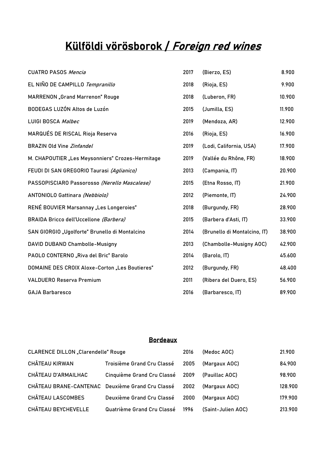## Külföldi vörösborok / Foreign red wines

| <b>CUATRO PASOS Mencia</b>                       | 2017 | (Bierzo, ES)                 | 8.900  |
|--------------------------------------------------|------|------------------------------|--------|
| EL NIÑO DE CAMPILLO Tempranillo                  | 2018 | (Rioja, ES)                  | 9.900  |
| <b>MARRENON</b> "Grand Marrenon" Rouge           | 2018 | (Luberon, FR)                | 10.900 |
| BODEGAS LUZÓN Altos de Luzón                     | 2015 | (Jumilla, ES)                | 11.900 |
| LUIGI BOSCA Malbec                               | 2019 | (Mendoza, AR)                | 12.900 |
| MARQUÉS DE RISCAL Rioja Reserva                  | 2016 | (Rioja, ES)                  | 16.900 |
| <b>BRAZIN Old Vine Zinfandel</b>                 | 2019 | (Lodi, California, USA)      | 17.900 |
| M. CHAPOUTIER "Les Meysonniers" Crozes-Hermitage | 2019 | (Vallée du Rhône, FR)        | 18.900 |
| FEUDI DI SAN GREGORIO Taurasi (Aglianico)        | 2013 | (Campania, IT)               | 20.900 |
| PASSOPISCIARO Passorosso (Nerello Mascalese)     | 2015 | (Etna Rosso, IT)             | 21.900 |
| ANTONIOLO Gattinara (Nebbiolo)                   | 2012 | (Piemonte, IT)               | 24.900 |
| RENÉ BOUVIER Marsannay "Les Longeroies"          | 2018 | (Burgundy, FR)               | 28.900 |
| BRAIDA Bricco dell'Uccellone (Barbera)           | 2015 | (Barbera d'Asti, IT)         | 33.900 |
| SAN GIORGIO "Ugolforte" Brunello di Montalcino   | 2014 | (Brunello di Montalcino, IT) | 38.900 |
| DAVID DUBAND Chambolle-Musigny                   | 2013 | (Chambolle-Musigny AOC)      | 42.900 |
| PAOLO CONTERNO "Riva del Bric" Barolo            | 2014 | (Barolo, IT)                 | 45.600 |
| DOMAINE DES CROIX Aloxe-Corton "Les Boutieres"   | 2012 | (Burgundy, FR)               | 48.400 |
| <b>VALDUERO Reserva Premium</b>                  | 2011 | (Ribera del Duero, ES)       | 56.900 |
| <b>GAJA Barbaresco</b>                           | 2016 | (Barbaresco, IT)             | 89.900 |

## Bordeaux

| <b>CLARENCE DILLON</b> "Clarendelle" Rouge       |                                 | 2016 | (Medoc AOC)        | 21.900  |
|--------------------------------------------------|---------------------------------|------|--------------------|---------|
| CHÂTEAU KIRWAN                                   | Troisième Grand Cru Classé      | 2005 | (Margaux AOC)      | 84.900  |
| CHÂTEAU D'ARMAILHAC                              | Cinquième Grand Cru Classé 2009 |      | (Pauillac AOC)     | 98.900  |
| CHÂTEAU BRANE-CANTENAC Deuxième Grand Cru Classé |                                 | 2002 | (Margaux AOC)      | 128.900 |
| <b>CHÂTEAU LASCOMBES</b>                         | Deuxième Grand Cru Classé       | 2000 | (Margaux AOC)      | 179.900 |
| CHÂTEAU BEYCHEVELLE                              | Quatrième Grand Cru Classé      | 1996 | (Saint-Julien AOC) | 213.900 |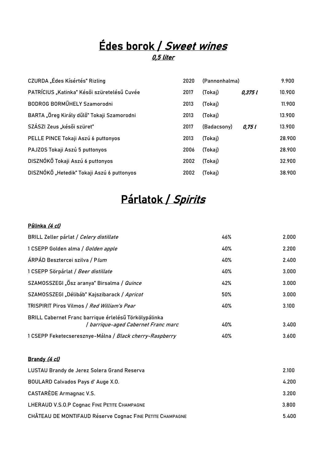## Édes borok / Sweet wines 0,5 liter

| CZURDA "Édes Kísértés" Rizling              | 2020 | (Pannonhalma) |         | 9.900  |
|---------------------------------------------|------|---------------|---------|--------|
| PATRÍCIUS "Katinka" Késői szüretelésű Cuvée | 2017 | (Tokaj)       | 0,375 l | 10.900 |
| BODROG BORMŰHELY Szamorodni                 | 2013 | (Tokaj)       |         | 11.900 |
| BARTA "Öreg Király dűlő" Tokaji Szamorodni  | 2013 | (Tokaj)       |         | 13.900 |
| SZÁSZI Zeus "késői szüret"                  | 2017 | (Badacsony)   | 0,75 l  | 13.900 |
| PELLE PINCE Tokaji Aszú 6 puttonyos         | 2013 | (Tokaj)       |         | 28.900 |
| PAJZOS Tokaji Aszú 5 puttonyos              | 2006 | (Tokaj)       |         | 28.900 |
| DISZNÓKŐ Tokaji Aszú 6 puttonyos            | 2002 | (Tokaj)       |         | 32.900 |
| DISZNÓKŐ "Hetedik" Tokaji Aszú 6 puttonyos  | 2002 | (Tokaj)       |         | 38.900 |

# Párlatok / Spirits

### Pálinka (4 cl)

| BRILL Zeller párlat / Celery distillate                                                      | 46% | 2.000 |
|----------------------------------------------------------------------------------------------|-----|-------|
| 1 CSEPP Golden alma / Golden apple                                                           | 40% | 2.200 |
| ÁRPÁD Besztercei szilva / Plum                                                               | 40% | 2.400 |
| 1 CSEPP Sörpárlat / Beer distillate                                                          | 40% | 3.000 |
| SZAMOSSZEGI "Ősz aranya" Birsalma / Quince                                                   | 42% | 3.000 |
| SZAMOSSZEGI "Délibáb" Kajszibarack / Apricot                                                 | 50% | 3.000 |
| TRISPIRIT Piros Vilmos / Red William's Pear                                                  | 40% | 3.100 |
| BRILL Cabernet Franc barrique érlelésű Törkölypálinka<br>  barrique-aged Cabernet Franc marc | 40% | 3.400 |
| 1 CSEPP Feketecseresznye-Málna / Black cherry-Raspberry                                      | 40% | 3.600 |

#### Brandy (4 cl)

| LUSTAU Brandy de Jerez Solera Grand Reserva               | 2.100 |
|-----------------------------------------------------------|-------|
| BOULARD Calvados Pays d'Auge X.O.                         | 4.200 |
| CASTARÈDE Armagnac V.S.                                   | 3.200 |
| LHERAUD V.S.O.P Cognac FINE PETITE CHAMPAGNE              | 3.800 |
| CHÂTEAU DE MONTIFAUD Réserve Cognac FINE PETITE CHAMPAGNE | 5.400 |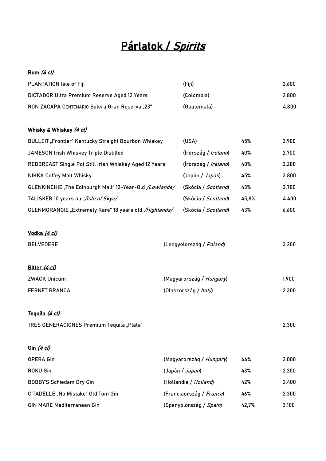## Párlatok / Spirits

## Rum (4 cl)

| PLANTATION Isle of Fiji                                     | (Fiji)                       |       | 2.600 |
|-------------------------------------------------------------|------------------------------|-------|-------|
| DICTADOR Ultra Premium Reserve Aged 12 Years                | (Colombia)                   |       | 2.800 |
| RON ZACAPA CENTENARIO Solera Gran Reserva "23"              | (Guatemala)                  |       | 4.800 |
|                                                             |                              |       |       |
| Whisky & Whiskey (4 cl)                                     |                              |       |       |
| <b>BULLEIT</b> "Frontier" Kentucky Straight Bourbon Whiskey | (USA)                        | 45%   | 2.900 |
| JAMESON Irish Whiskey Triple Distilled                      | (Írország / <i>Ireland</i> ) | 40%   | 2.700 |
| REDBREAST Single Pot Still Irish Whiskey Aged 12 Years      | (Írország / <i>Ireland</i> ) | 40%   | 3.200 |
| <b>NIKKA Coffey Malt Whisky</b>                             | (Japán / Japan)              | 45%   | 3.800 |
| GLENKINCHIE "The Edinburgh Malt" 12-Year-Old /Lowlands/     | (Skócia / Scotland)          | 43%   | 3.700 |
| TALISKER 10 years old /Isle of Skye/                        | (Skócia / Scotland)          | 45,8% | 4.400 |
| GLENMORANGIE "Extremely Rare" 18 years old /Highlands/      | (Skócia / Scotland)          | 43%   | 6.600 |
|                                                             |                              |       |       |
| <u>Vodka <i>(4 cl)</i></u>                                  |                              |       |       |
| <b>BELVEDERE</b>                                            | (Lengyelország / Poland)     |       | 3.200 |
|                                                             |                              |       |       |
| Bitter (4 cl)                                               |                              |       |       |
| <b>ZWACK Unicum</b>                                         | (Magyarország / Hungary)     |       | 1.900 |
| <b>FERNET BRANCA</b>                                        | (Olaszország / Italy)        |       | 2.300 |
|                                                             |                              |       |       |
| Tequila (4 cl)                                              |                              |       |       |
| TRES GENERACIONES Premium Tequila "Plata"                   |                              |       | 2.300 |
|                                                             |                              |       |       |
| Gin (4 cl)                                                  |                              |       |       |
| <b>OPERA Gin</b>                                            | (Magyarország / Hungary)     | 44%   | 2.000 |
| <b>ROKU Gin</b>                                             | (Japán / Japan)              | 43%   | 2.200 |
| <b>BOBBY'S Schiedam Dry Gin</b>                             | (Hollandia / Holland)        | 42%   | 2.400 |
| CITADELLE "No Mistake" Old Tom Gin                          | (Franciaország / France)     | 46%   | 2.300 |
| <b>GIN MARE Mediterranean Gin</b>                           | (Spanyolország / Spain)      | 42,7% | 3.100 |